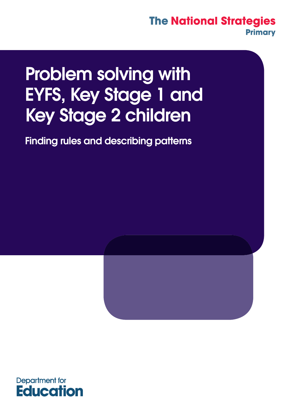# Problem solving with EYFS, Key Stage 1 and Key Stage 2 children

Finding rules and describing patterns



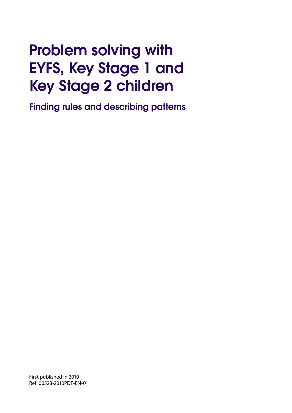# Problem solving with EYFS, Key Stage 1 and Key Stage 2 children

Finding rules and describing patterns

First published in 2010 Ref: 00528-2010PDF-EN-01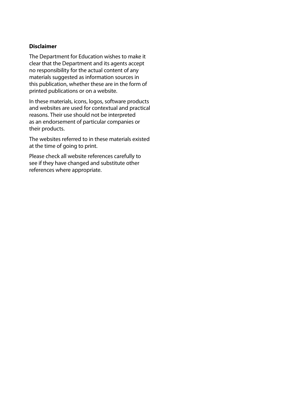#### **Disclaimer**

The Department for Education wishes to make it clear that the Department and its agents accept no responsibility for the actual content of any materials suggested as information sources in this publication, whether these are in the form of printed publications or on a website.

In these materials, icons, logos, software products and websites are used for contextual and practical reasons. Their use should not be interpreted as an endorsement of particular companies or their products.

The websites referred to in these materials existed at the time of going to print.

Please check all website references carefully to see if they have changed and substitute other references where appropriate.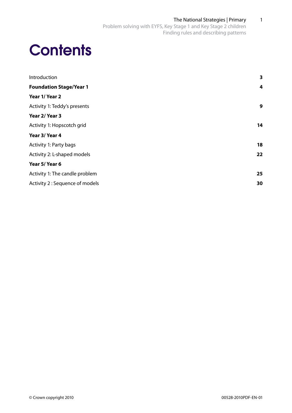# **Contents**

| Introduction                    | 3  |
|---------------------------------|----|
| <b>Foundation Stage/Year 1</b>  | 4  |
| Year 1/ Year 2                  |    |
| Activity 1: Teddy's presents    | 9  |
| Year 2/ Year 3                  |    |
| Activity 1: Hopscotch grid      | 14 |
| Year 3/Year 4                   |    |
| Activity 1: Party bags          | 18 |
| Activity 2: L-shaped models     | 22 |
| Year 5/Year 6                   |    |
| Activity 1: The candle problem  | 25 |
| Activity 2 : Sequence of models | 30 |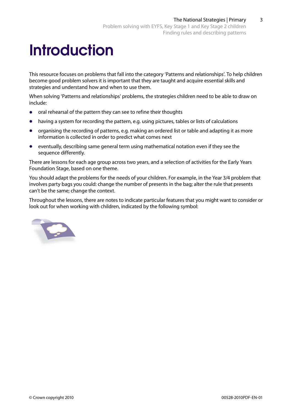# **Introduction**

This resource focuses on problems that fall into the category 'Patterns and relationships'. To help children become good problem solvers it is important that they are taught and acquire essential skills and strategies and understand how and when to use them.

When solving 'Patterns and relationships' problems, the strategies children need to be able to draw on include:

- **•**  oral rehearsal of the pattern they can see to refine their thoughts
- having a system for recording the pattern, e.g. using pictures, tables or lists of calculations
- **•**  organising the recording of patterns, e.g. making an ordered list or table and adapting it as more information is collected in order to predict what comes next
- **•**  eventually, describing same general term using mathematical notation even if they see the sequence differently.

There are lessons for each age group across two years, and a selection of activities for the Early Years Foundation Stage, based on one theme.

You should adapt the problems for the needs of your children. For example, in the Year 3/4 problem that involves party bags you could: change the number of presents in the bag; alter the rule that presents can't be the same; change the context.

Throughout the lessons, there are notes to indicate particular features that you might want to consider or look out for when working with children, indicated by the following symbol:

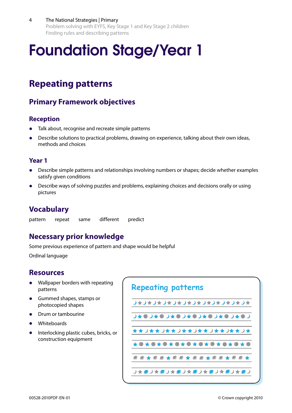4 The National Strategies | Primary Problem solving with EYFS, Key Stage 1 and Key Stage 2 children Finding rules and describing patterns

# Foundation Stage/Year 1

## **Repeating patterns**

## **Primary Framework objectives**

### **Reception**

- Talk about, recognise and recreate simple patterns
- Describe solutions to practical problems, drawing on experience, talking about their own ideas, methods and choices

#### **Year 1**

- Describe simple patterns and relationships involving numbers or shapes; decide whether examples satisfy given conditions
- Describe ways of solving puzzles and problems, explaining choices and decisions orally or using pictures

## **Vocabulary**

pattern repeat same different predict

## **Necessary prior knowledge**

Some previous experience of pattern and shape would be helpful

Ordinal language

## **Resources**

- **•**  Wallpaper borders with repeating patterns
- **•**  Gummed shapes, stamps or photocopied shapes
- **Drum or tambourine**
- **•**  Whiteboards
- **•** Interlocking plastic cubes, bricks, or construction equipment

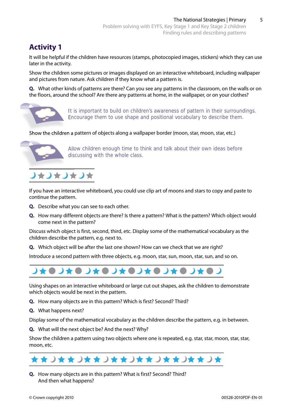## **Activity 1**

It will be helpful if the children have resources (stamps, photocopied images, stickers) which they can use later in the activity.

Show the children some pictures or images displayed on an interactive whiteboard, including wallpaper and pictures from nature. Ask children if they know what a pattern is.

**Q.** What other kinds of patterns are there? Can you see any patterns in the classroom, on the walls or on the floors, around the school? Are there any patterns at home, in the wallpaper, or on your clothes?



It is important to build on children's awareness of pattern in their surroundings. Encourage them to use shape and positional vocabulary to describe them.

Show the children a pattern of objects along a wallpaper border (moon, star, moon, star, etc.)



Allow children enough time to think and talk about their own ideas before discussing with the whole class.



If you have an interactive whiteboard, you could use clip art of moons and stars to copy and paste to continue the pattern.

- **Q.** Describe what you can see to each other.
- **Q.** How many different objects are there? Is there a pattern? What is the pattern? Which object would come next in the pattern?

Discuss which object is first, second, third, etc. Display some of the mathematical vocabulary as the children describe the pattern, e.g. next to.

**Q.** Which object will be after the last one shown? How can we check that we are right?

Introduce a second pattern with three objects, e.g. moon, star, sun, moon, star, sun, and so on.



Using shapes on an interactive whiteboard or large cut out shapes, ask the children to demonstrate which objects would be next in the pattern.

- **Q.** How many objects are in this pattern? Which is first? Second? Third?
- **Q.** What happens next?

Display some of the mathematical vocabulary as the children describe the pattern, e.g. in between.

**Q.** What will the next object be? And the next? Why?

Show the children a pattern using two objects where one is repeated, e.g. star, star, moon, star, star, moon, etc.



**Q.** How many objects are in this pattern? What is first? Second? Third? And then what happens?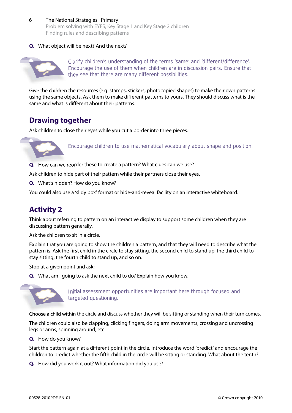#### 6 The National Strategies | Primary

Problem solving with EYFS, Key Stage 1 and Key Stage 2 children Finding rules and describing patterns

#### **Q.** What object will be next? And the next?



Clarify children's understanding of the terms 'same' and 'different/difference'. Encourage the use of them when children are in discussion pairs. Ensure that they see that there are many different possibilities.

Give the children the resources (e.g. stamps, stickers, photocopied shapes) to make their own patterns using the same objects. Ask them to make different patterns to yours. They should discuss what is the same and what is different about their patterns.

## **Drawing together**

Ask children to close their eyes while you cut a border into three pieces.



Encourage children to use mathematical vocabulary about shape and position.

**Q.** How can we reorder these to create a pattern? What clues can we use?

Ask children to hide part of their pattern while their partners close their eyes.

**Q.** What's hidden? How do you know?

You could also use a 'slidy box' format or hide-and-reveal facility on an interactive whiteboard.

## **Activity 2**

Think about referring to pattern on an interactive display to support some children when they are discussing pattern generally.

Ask the children to sit in a circle.

Explain that you are going to show the children a pattern, and that they will need to describe what the pattern is. Ask the first child in the circle to stay sitting, the second child to stand up, the third child to stay sitting, the fourth child to stand up, and so on. Solution to hide part of their pattern<br>
What's hidden? How do you know?<br>
Du could also use a 'slidy box' format of<br>
Ctivity 2<br>
Think about referring to pattern on an in<br>
scussing pattern generally.<br>
Solution to sit in a ci

Stop at a given point and ask:

**Q.** What am I going to ask the next child to do? Explain how you know.



Initial assessment opportunities are important here through focused and targeted questioning.

Choose a child within the circle and discuss whether they will be sitting or standing when their turn comes.

The children could also be clapping, clicking fingers, doing arm movements, crossing and uncrossing legs or arms, spinning around, etc.

**Q.** How do you know?

Start the pattern again at a different point in the circle. Introduce the word 'predict' and encourage the children to predict whether the fifth child in the circle will be sitting or standing. What about the tenth?

**Q.** How did you work it out? What information did you use?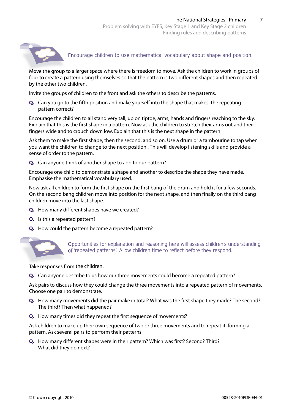

Encourage children to use mathematical vocabulary about shape and position.

Move the group to a larger space where there is freedom to move. Ask the children to work in groups of four to create a pattern using themselves so that the pattern is two different shapes and then repeated by the other two children.

Invite the groups of children to the front and ask the others to describe the patterns.

**Q.** Can you go to the fifth position and make yourself into the shape that makes the repeating pattern correct?

Encourage the children to all stand very tall, up on tiptoe, arms, hands and fingers reaching to the sky. Explain that this is the first shape in a pattern. Now ask the children to stretch their arms out and their fingers wide and to crouch down low. Explain that this is the next shape in the pattern.

Ask them to make the first shape, then the second, and so on. Use a drum or a tambourine to tap when you want the children to change to the next position . This will develop listening skills and provide a sense of order to the pattern.

**Q.** Can anyone think of another shape to add to our pattern?

Encourage one child to demonstrate a shape and another to describe the shape they have made. Emphasise the mathematical vocabulary used.

Now ask all children to form the first shape on the first bang of the drum and hold it for a few seconds. On the second bang children move into position for the next shape, and then finally on the third bang children move into the last shape.

- **Q.** How many different shapes have we created?
- **Q.** Is this a repeated pattern?
- **Q.** How could the pattern become a repeated pattern?



Opportunities for explanation and reasoning here will assess children's understanding of 'repeated patterns'. Allow children time to reflect before they respond. of 'repeated patterns'. Allow children time to reflect before they respond.

Take responses from the children.

**Q.** Can anyone describe to us how our three movements could become a repeated pattern?

Ask pairs to discuss how they could change the three movements into a repeated pattern of movements. Choose one pair to demonstrate.

- **Q.** How many movements did the pair make in total? What was the first shape they made? The second? The third? Then what happened?
- **Q.** How many times did they repeat the first sequence of movements?

Ask children to make up their own sequence of two or three movements and to repeat it, forming a pattern. Ask several pairs to perform their patterns.

**Q.** How many different shapes were in their pattern? Which was first? Second? Third? What did they do next?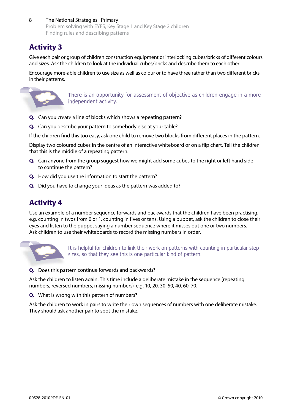8 The National Strategies | Primary Problem solving with EYFS, Key Stage 1 and Key Stage 2 children Finding rules and describing patterns

## **Activity 3**

Give each pair or group of children construction equipment or interlocking cubes/bricks of different colours and sizes. Ask the children to look at the individual cubes/bricks and describe them to each other.

Encourage more-able children to use size as well as colour or to have three rather than two different bricks in their patterns.



There is an opportunity for assessment of objective as children engage in a more independent activity.

- **Q.** Can you create a line of blocks which shows a repeating pattern?
- **Q.** Can you describe your pattern to somebody else at your table?

If the children find this too easy, ask one child to remove two blocks from different places in the pattern.

Display two coloured cubes in the centre of an interactive whiteboard or on a flip chart. Tell the children that this is the middle of a repeating pattern.

- **Q.** Can anyone from the group suggest how we might add some cubes to the right or left hand side to continue the pattern?
- **Q.** How did you use the information to start the pattern?
- **Q.** Did you have to change your ideas as the pattern was added to?

## **Activity 4**

Use an example of a number sequence forwards and backwards that the children have been practising, e.g. counting in twos from 0 or 1, counting in fives or tens. Using a puppet, ask the children to close their eyes and listen to the puppet saying a number sequence where it misses out one or two numbers. Ask children to use their whiteboards to record the missing numbers in order.



It is helpful for children to link their work on patterns with counting in particular step sizes, so that they see this is one particular kind of pattern.

**Q.** Does this pattern continue forwards and backwards?

Ask the children to listen again. This time include a deliberate mistake in the sequence (repeating numbers, reversed numbers, missing numbers), e.g. 10, 20, 30, 50, 40, 60, 70.

**Q.** What is wrong with this pattern of numbers?

Ask the children to work in pairs to write their own sequences of numbers with one deliberate mistake. They should ask another pair to spot the mistake.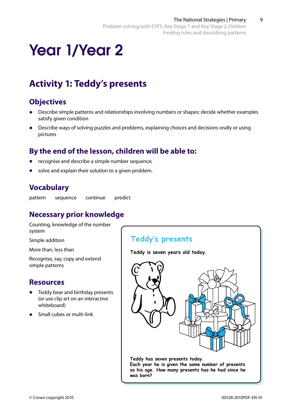# Year 1/Year 2

## **Activity 1: Teddy's presents**

## **Objectives**

- Describe simple patterns and relationships involving numbers or shapes; decide whether examples satisfy given condition
- Describe ways of solving puzzles and problems, explaining choices and decisions orally or using pictures

## **By the end of the lesson, children will be able to:**

- recognise and describe a simple number sequence;
- solve and explain their solution to a given problem.

## **Vocabulary**

pattern sequence continue predict

## **Necessary prior knowledge**

Counting, knowledge of the number system

Simple addition

More than, less than

Recognise, say, copy and extend simple patterns

## **Resources**

- Teddy bear and birthday presents (or use clip art on an interactive whiteboard)
- **•**  Small cubes or multi-link



**Teddy is seven years old today.**



**Each year he is given the same number of presents as his age. How many presents has he had since he was born?**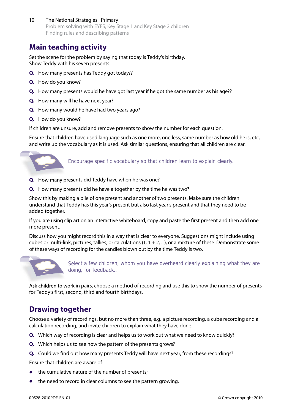10 The National Strategies | Primary Problem solving with EYFS, Key Stage 1 and Key Stage 2 children Finding rules and describing patterns

## **Main teaching activity**

Set the scene for the problem by saying that today is Teddy's birthday. Show Teddy with his seven presents.

- **Q.** How many presents has Teddy got today??
- **Q.** How do you know?
- **Q.** How many presents would he have got last year if he got the same number as his age??
- **Q.** How many will he have next year?
- **Q.** How many would he have had two years ago?
- **Q.** How do you know?

If children are unsure, add and remove presents to show the number for each question.

Ensure that children have used language such as one more, one less, same number as how old he is, etc, and write up the vocabulary as it is used. Ask similar questions, ensuring that all children are clear.



Encourage specific vocabulary so that children learn to explain clearly.

- **Q.** How many presents did Teddy have when he was one?
- **Q.** How many presents did he have altogether by the time he was two?

Show this by making a pile of one present and another of two presents. Make sure the children understand that Teddy has this year's present but also last year's present and that they need to be added together.

If you are using clip art on an interactive whiteboard, copy and paste the first present and then add one more present.

Discuss how you might record this in a way that is clear to everyone. Suggestions might include using cubes or multi-link, pictures, tallies, or calculations  $(1, 1 + 2, ...)$ , or a mixture of these. Demonstrate some of these ways of recording for the candles blown out by the time Teddy is two.



Select a few children, whom you have overheard clearly explaining what they are doing, for feedback..

Ask children to work in pairs, choose a method of recording and use this to show the number of presents Ask children to work in pairs, choose a method of recording and use this to show the number of presents for Teddy's first, second, third and fourth birthdays.

## **Drawing together**

Choose a variety of recordings, but no more than three, e.g. a picture recording, a cube recording and a calculation recording, and invite children to explain what they have done.

- **Q.** Which way of recording is clear and helps us to work out what we need to know quickly?
- **Q.** Which helps us to see how the pattern of the presents grows?
- **Q.** Could we find out how many presents Teddy will have next year, from these recordings?

Ensure that children are aware of:

- the cumulative nature of the number of presents;
- the need to record in clear columns to see the pattern growing.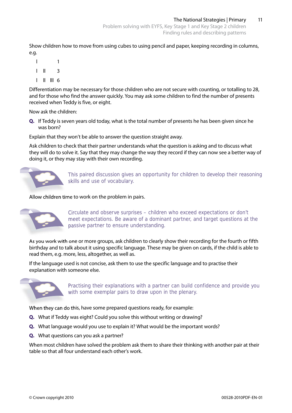Show children how to move from using cubes to using pencil and paper, keeping recording in columns, e.g.

 l 1  $\vert \vert \vert \vert$  3  $\parallel$   $\parallel$   $\parallel$  6

Differentiation may be necessary for those children who are not secure with counting, or totalling to 28, and for those who find the answer quickly. You may ask some children to find the number of presents received when Teddy is five, or eight.

Now ask the children:

**Q.** If Teddy is seven years old today, what is the total number of presents he has been given since he was born?

Explain that they won't be able to answer the question straight away.

Ask children to check that their partner understands what the question is asking and to discuss what they will do to solve it. Say that they may change the way they record if they can now see a better way of doing it, or they may stay with their own recording.



This paired discussion gives an opportunity for children to develop their reasoning skills and use of vocabulary.

Allow children time to work on the problem in pairs.



Circulate and observe surprises - children who exceed expectations or don't meet expectations. Be aware of a dominant partner, and target questions at the passive partner to ensure understanding.

As you work with one or more groups, ask children to clearly show their recording for the fourth or fifth birthday and to talk about it using specific language. These may be given on cards, if the child is able to read them, e.g. more, less, altogether, as well as.

If the language used is not concise, ask them to use the specific language and to practise their explanation with someone else.



Practising their explanations with a partner can build confidence and provide you with some exemplar pairs to draw upon in the plenary.

When they can do this, have some prepared questions ready, for example:

- **Q.** What if Teddy was eight? Could you solve this without writing or drawing?
- **Q.** What language would you use to explain it? What would be the important words?
- **Q.** What questions can you ask a partner?

When most children have solved the problem ask them to share their thinking with another pair at their table so that all four understand each other's work.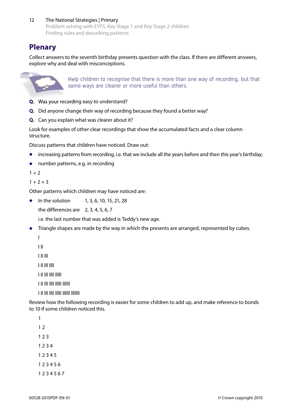12 The National Strategies | Primary Problem solving with EYFS, Key Stage 1 and Key Stage 2 children Finding rules and describing patterns

## **Plenary**

Collect answers to the seventh birthday presents question with the class. If there are different answers, explore why and deal with misconceptions.



Help children to recognise that there is more than one way of recording, but that some ways are clearer or more useful than others.

- **Q.** Was your recording easy to understand?
- **Q.** Did anyone change their way of recording because they found a better way?
- **Q.** Can you explain what was clearer about it?

Look for examples of other clear recordings that show the accumulated facts and a clear column structure.

Discuss patterns that children have noticed. Draw out:

- increasing patterns from recording, i.e. that we include all the years before and then this year's birthday;
- **•**  number patterns, e.g. in recording

 $1 + 2$ 

```
1 + 2 + 3
```
Other patterns which children may have noticed are:

• In the solution 1, 3, 6, 10, 15, 21, 28

the differences are  $2, 3, 4, 5, 6, 7$ 

i.e. the last number that was added is Teddy's new age.

• Triangle shapes are made by the way in which the presents are arranged, represented by cubes.

l

l ll

l ll lll

l ll lll llll

l ll lll llll lllll

l ll lll llll lllll llllll

l ll lll llll lllll llllll lllllll

Review how the following recording is easier for some children to add up, and make reference to bonds to 10 if some children noticed this.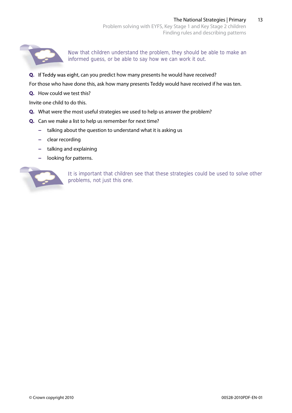

Now that children understand the problem, they should be able to make an informed guess, or be able to say how we can work it out.

**Q.** If Teddy was eight, can you predict how many presents he would have received? **Q.**

For those who have done this, ask how many presents Teddy would have received if he was ten.

**Q.** How could we test this?

Invite one child to do this.

- **Q.** What were the most useful strategies we used to help us answer the problem?
- **Q.** Can we make a list to help us remember for next time?
	- **−** talking about the question to understand what it is asking us
	- **−** clear recording
	- **−** talking and explaining
	- **looking for patterns.**



It is important that children see that these strategies could be used to solve other problems, not just this one.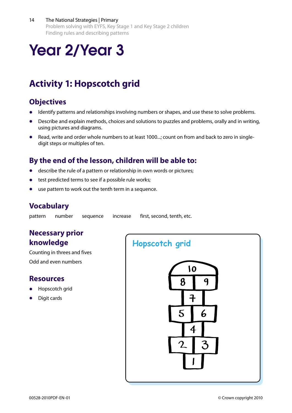#### 14 The National Strategies | Primary

Problem solving with EYFS, Key Stage 1 and Key Stage 2 children Finding rules and describing patterns

# Year 2/Year 3

## **Activity 1: Hopscotch grid**

## **Objectives**

- **Identify patterns and relationships involving numbers or shapes, and use these to solve problems.**
- Describe and explain methods, choices and solutions to puzzles and problems, orally and in writing, using pictures and diagrams.
- Read, write and order whole numbers to at least 1000...; count on from and back to zero in singledigit steps or multiples of ten.

## **By the end of the lesson, children will be able to:**

- describe the rule of a pattern or relationship in own words or pictures;
- test predicted terms to see if a possible rule works;
- use pattern to work out the tenth term in a sequence.

## **Vocabulary**

pattern number sequence increase first, second, tenth, etc.

## **Necessary prior knowledge**

Counting in threes and fives Odd and even numbers

#### **Resources**

- **Hopscotch grid**
- **Digit cards**

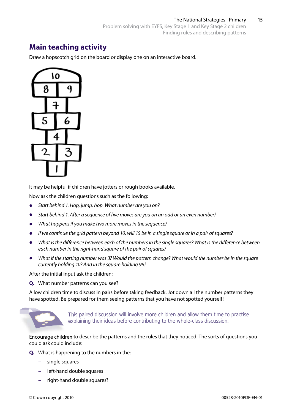## **Main teaching activity**

Draw a hopscotch grid on the board or display one on an interactive board.



It may be helpful if children have jotters or rough books available.

Now ask the children questions such as the following:

- **•**  *Start behind 1. Hop, jump, hop. What number are you on?*
- **•**  *Start behind 1. After a sequence of five moves are you on an odd or an even number?*
- **•**  *What happens if you make two more moves in the sequence?*
- **•**  *If we continue the grid pattern beyond 10, will 15 be in a single square or in a pair of squares?*
- **•**  *What is the difference between each of the numbers in the single squares? What is the difference between each number in the right-hand square of the pair of squares?*
- **•**  *What if the starting number was 3? Would the pattern change? What would the number be in the square currently holding 10? And in the square holding 99?*

After the initial input ask the children:

**Q.** What number patterns can you see?

Allow children time to discuss in pairs before taking feedback. Jot down all the number patterns they have spotted. Be prepared for them seeing patterns that you have not spotted yourself!



This paired discussion will involve more children and allow them time to practise explaining their ideas before contributing to the whole-class discussion.

Encourage children to describe the patterns and the rules that they noticed. The sorts of questions you could ask could include:

- **Q.** What is happening to the numbers in the:
	- **−** single squares
	- **−** left-hand double squares
	- **−** right-hand double squares?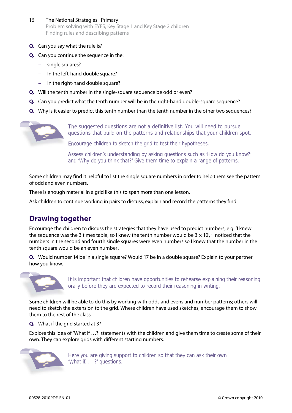- 16 The National Strategies | Primary Problem solving with EYFS, Key Stage 1 and Key Stage 2 children Finding rules and describing patterns
- **Q.** Can you say what the rule is?
- **Q.** Can you continue the sequence in the:
	- **−** single squares?
	- **−** In the left-hand double square?
	- **−** In the right-hand double square?
- **Q.** Will the tenth number in the single-square sequence be odd or even?
- **Q.** Can you predict what the tenth number will be in the right-hand double-square sequence?
- **Q.** Why is it easier to predict this tenth number than the tenth number in the other two sequences?



The suggested questions are not a definitive list. You will need to pursue questions that build on the patterns and relationships that your children spot.

Encourage children to sketch the grid to test their hypotheses.

Assess children's understanding by asking questions such as 'How do you know?' and 'Why do you think that?' Give them time to explain a range of patterns.

Some children may find it helpful to list the single square numbers in order to help them see the pattern of odd and even numbers.

There is enough material in a grid like this to span more than one lesson.

Ask children to continue working in pairs to discuss, explain and record the patterns they find.

## **Drawing together**

Encourage the children to discuss the strategies that they have used to predict numbers, e.g. 'I knew the sequence was the 3 times table, so I knew the tenth number would be 3 *×* 10', 'I noticed that the numbers in the second and fourth single squares were even numbers so I knew that the number in the tenth square would be an even number'.

**Q.** Would number 14 be in a single square? Would 17 be in a double square? Explain to your partner how you know.



It is important that children have opportunities to rehearse explaining their reasoning orally before they are expected to record their reasoning in writing.

Some children will be able to do this by working with odds and evens and number patterns; others will need to sketch the extension to the grid. Where children have used sketches, encourage them to show them to the rest of the class.

**Q.** What if the grid started at 3?

Explore this idea of 'What if …?' statements with the children and give them time to create some of their own. They can explore grids with different starting numbers.



Here you are giving support to children so that they can ask their own 'What if. . . ?' questions.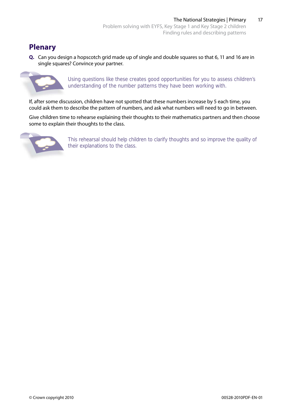## **Plenary**

**Q.** Can you design a hopscotch grid made up of single and double squares so that 6, 11 and 16 are in single squares? Convince your partner.



Using questions like these creates good opportunities for you to assess children's understanding of the number patterns they have been working with.

If, after some discussion, children have not spotted that these numbers increase by 5 each time, you could ask them to describe the pattern of numbers, and ask what numbers will need to go in between.

Give children time to rehearse explaining their thoughts to their mathematics partners and then choose some to explain their thoughts to the class.



This rehearsal should help children to clarify thoughts and so improve the quality of their explanations to the class.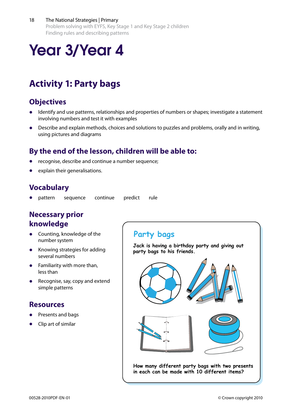#### 18 The National Strategies | Primary

Problem solving with EYFS, Key Stage 1 and Key Stage 2 children Finding rules and describing patterns

## Year 3/Year 4

## **Activity 1: Party bags**

## **Objectives**

- Identify and use patterns, relationships and properties of numbers or shapes; investigate a statement involving numbers and test it with examples
- Describe and explain methods, choices and solutions to puzzles and problems, orally and in writing, using pictures and diagrams

## **By the end of the lesson, children will be able to:**

- recognise, describe and continue a number sequence;
- explain their generalisations.

## **Vocabulary**

**•**  pattern sequence continue predict rule

## **Necessary prior knowledge**

- **•** Counting, knowledge of the number system
- **•**  Knowing strategies for adding several numbers
- **•**  Familiarity with more than, less than
- **•**  Recognise, say, copy and extend simple patterns

### **Resources**

- **Presents and bags**
- **•**  Clip art of similar

## **Party bags**

**Jack is having a birthday party and giving out party bags to his friends.**



**How many different party bags with two presents in each can be made with 10 different items?**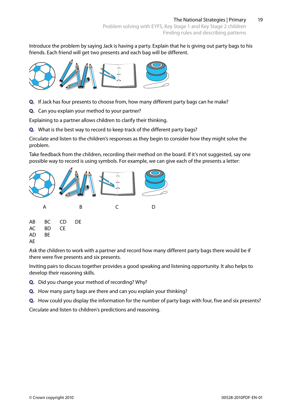Introduce the problem by saying Jack is having a party. Explain that he is giving out party bags to his friends. Each friend will get two presents and each bag will be different.



- **Q.** If Jack has four presents to choose from, how many different party bags can he make?
- **Q.** Can you explain your method to your partner?

Explaining to a partner allows children to clarify their thinking.

**Q.** What is the best way to record to keep track of the different party bags?

Circulate and listen to the children's responses as they begin to consider how they might solve the problem.

Take feedback from the children, recording their method on the board. If it's not suggested, say one possible way to record is using symbols. For example, we can give each of the presents a letter:



Ask the children to work with a partner and record how many different party bags there would be if there were five presents and six presents.

Inviting pairs to discuss together provides a good speaking and listening opportunity. It also helps to develop their reasoning skills.

- **Q.** Did you change your method of recording? Why?
- **Q.** How many party bags are there and can you explain your thinking?
- **Q.** How could you display the information for the number of party bags with four, five and six presents?

Circulate and listen to children's predictions and reasoning.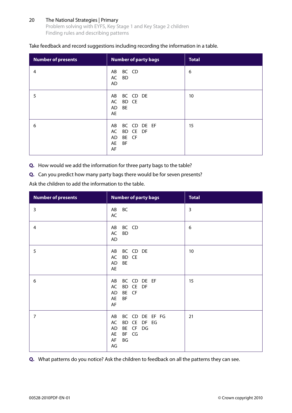#### 20 The National Strategies | Primary

Problem solving with EYFS, Key Stage 1 and Key Stage 2 children Finding rules and describing patterns

#### Take feedback and record suggestions including recording the information in a table.

| <b>Number of presents</b> | <b>Number of party bags</b>                                          | <b>Total</b> |
|---------------------------|----------------------------------------------------------------------|--------------|
| 4                         | BC CD<br>AB<br>BD<br>AC<br>AD                                        | 6            |
| 5                         | BC CD DE<br>AB<br>AC BD CE<br>BE<br>AD<br>AE                         | 10           |
| 6                         | BC CD DE EF<br>AB<br>BD CE DF<br>AC<br>BE CF<br>AD<br>AE<br>BF<br>AF | 15           |

**Q.** How would we add the information for three party bags to the table?

**Q.** Can you predict how many party bags there would be for seven presents?

Ask the children to add the information to the table.

| <b>Number of presents</b> | <b>Number of party bags</b>                                                                     | <b>Total</b>   |
|---------------------------|-------------------------------------------------------------------------------------------------|----------------|
| 3                         | <b>BC</b><br>AB<br>AC                                                                           | $\overline{3}$ |
| 4                         | BC CD<br>AB<br><b>BD</b><br>AC<br><b>AD</b>                                                     | 6              |
| 5                         | BC CD DE<br>AB<br>BD CE<br>AC<br><b>BE</b><br>AD<br>AE                                          | 10             |
| 6                         | BC CD DE EF<br>AB<br>BD CE DF<br>AC<br>BE CF<br>AD<br>BF<br>AE<br>AF                            | 15             |
| $\overline{7}$            | BC CD DE EF FG<br>AB<br>BD CE<br>DF EG<br>AC<br>BE CF DG<br>AD<br>BF CG<br>AE<br>BG<br>AF<br>AG | 21             |

**Q.** What patterns do you notice? Ask the children to feedback on all the patterns they can see.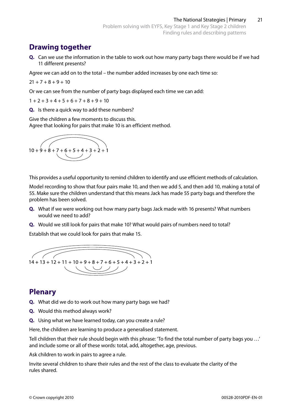## **Drawing together**

**Q.** Can we use the information in the table to work out how many party bags there would be if we had 11 different presents?

Agree we can add on to the total – the number added increases by one each time so:

 $21 + 7 + 8 + 9 + 10$ 

Or we can see from the number of party bags displayed each time we can add:

 $1 + 2 + 3 + 4 + 5 + 6 + 7 + 8 + 9 + 10$ 

**Q.** Is there a quick way to add these numbers?

Give the children a few moments to discuss this. Agree that looking for pairs that make 10 is an efficient method.



This provides a useful opportunity to remind children to identify and use efficient methods of calculation.

Model recording to show that four pairs make 10, and then we add 5, and then add 10, making a total of 55. Make sure the children understand that this means Jack has made 55 party bags and therefore the problem has been solved.

- **Q.** What if we were working out how many party bags Jack made with 16 presents? What numbers would we need to add?
- **Q.** Would we still look for pairs that make 10? What would pairs of numbers need to total?

Establish that we could look for pairs that make 15.



## **Plenary**

- **Q.** What did we do to work out how many party bags we had?
- **Q.** Would this method always work?
- **Q.** Using what we have learned today, can you create a rule?

Here, the children are learning to produce a generalised statement.

Tell children that their rule should begin with this phrase: 'To find the total number of party bags you …' and include some or all of these words: total, add, altogether, age, previous.

Ask children to work in pairs to agree a rule.

Invite several children to share their rules and the rest of the class to evaluate the clarity of the rules shared.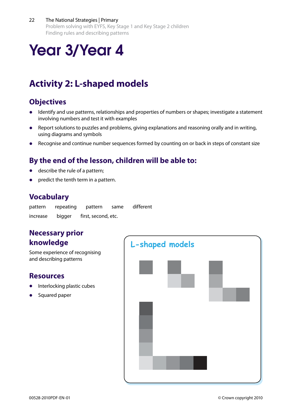#### 22 The National Strategies | Primary

Problem solving with EYFS, Key Stage 1 and Key Stage 2 children Finding rules and describing patterns

# Year 3/Year 4

## **Activity 2: L-shaped models**

## **Objectives**

- **•**  Identify and use patterns, relationships and properties of numbers or shapes; investigate a statement involving numbers and test it with examples
- **•**  Report solutions to puzzles and problems, giving explanations and reasoning orally and in writing, using diagrams and symbols
- Recognise and continue number sequences formed by counting on or back in steps of constant size

## **By the end of the lesson, children will be able to:**

- describe the rule of a pattern;
- predict the tenth term in a pattern.

## **Vocabulary**

| pattern  | repeating | pattern             | same | different |
|----------|-----------|---------------------|------|-----------|
| increase | bigger    | first, second, etc. |      |           |

## **Necessary prior knowledge**

Some experience of recognising and describing patterns

## **Resources**

- **Interlocking plastic cubes**
- **Squared paper**

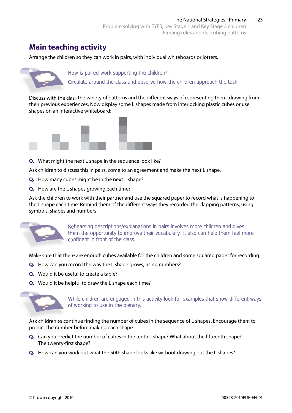## **Main teaching activity**

Arrange the children so they can work in pairs, with individual whiteboards or jotters.



How is paired work supporting the children?

Circulate around the class and observe how the children approach the task.

Discuss with the class the variety of patterns and the different ways of representing them, drawing from their previous experiences. Now display some L shapes made from interlocking plastic cubes or use shapes on an interactive whiteboard:



**Q.** What might the next L shape in the sequence look like?

Ask children to discuss this in pairs, come to an agreement and make the next L shape.

- **Q.** How many cubes might be in the next L shape?
- **Q.** How are the L shapes growing each time?

Ask the children to work with their partner and use the squared paper to record what is happening to the L shape each time. Remind them of the different ways they recorded the clapping patterns, using symbols, shapes and numbers.



Rehearsing descriptions/explanations in pairs involves more children and gives them the opportunity to improve their vocabulary. It also can help them feel more confident in front of the class. rtunity to<br>
ont of the<br>
cubes ava<br>
the L shape<br>
the L shape<br>
are engag

Make sure that there are enough cubes available for the children and some squared paper for recording.

- **Q.** How can you record the way the L shape grows, using numbers?
- **Q.** Would it be useful to create a table?
- **Q.** Would it be helpful to draw the L shape each time?



While children are engaged in this activity look for examples that show different ways of working to use in the plenary.

Ask children to continue finding the number of cubes in the sequence of L shapes. Encourage them to predict the number before making each shape.

- **Q.** Can you predict the number of cubes in the tenth L shape? What about the fifteenth shape? The twenty-first shape?
- **Q.** How can you work out what the 50th shape looks like without drawing out the L shapes?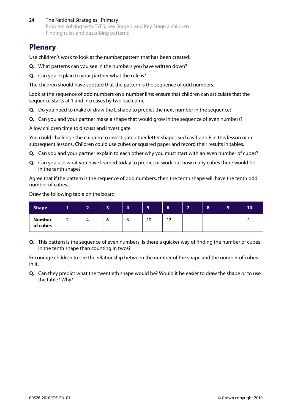24 The National Strategies | Primary Problem solving with EYFS, Key Stage 1 and Key Stage 2 children Finding rules and describing patterns

## **Plenary**

Use children's work to look at the number pattern that has been created.

- **Q.** What patterns can you see in the numbers you have written down?
- **Q.** Can you explain to your partner what the rule is?

The children should have spotted that the pattern is the sequence of odd numbers.

Look at the sequence of odd numbers on a number line; ensure that children can articulate that the sequence starts at 1 and increases by two each time.

- **Q.** Do you need to make or draw the L shape to predict the next number in the sequence?
- **Q.** Can you and your partner make a shape that would grow in the sequence of even numbers?

Allow children time to discuss and investigate.

You could challenge the children to investigate other letter shapes such as T and E in this lesson or in subsequent lessons. Children could use cubes or squared paper and record their results in tables.

- **Q.** Can you and your partner explain to each other why you must start with an even number of cubes?
- **Q.** Can you use what you have learned today to predict or work out how many cubes there would be in the tenth shape?

Agree that if the pattern is the sequence of odd numbers, then the tenth shape will have the tenth odd number of cubes.

Draw the following table on the board:

| <b>Shape</b>              |   | - | $\overline{\phantom{a}}$<br>æ | 4 | -<br>ь, | ۰<br>$\bullet$   | $\overline{\phantom{0}}$ | 8 | 9 | 10 |
|---------------------------|---|---|-------------------------------|---|---------|------------------|--------------------------|---|---|----|
| <b>Number</b><br>of cubes | - | 4 | o                             | O | 10      | $\sim$<br>$\sim$ |                          |   |   |    |

**Q.** This pattern is the sequence of even numbers. Is there a quicker way of finding the number of cubes in the tenth shape than counting in twos?

Encourage children to see the relationship between the number of the shape and the number of cubes in it.

**Q.** Can they predict what the twentieth shape would be? Would it be easier to draw the shape or to use the table? Why?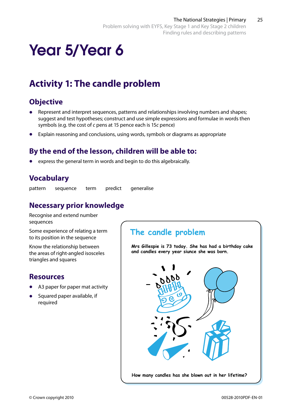# Year 5/Year 6

## **Activity 1: The candle problem**

## **Objective**

- Represent and interpret sequences, patterns and relationships involving numbers and shapes; suggest and test hypotheses; construct and use simple expressions and formulae in words then symbols (e.g. the cost of *c* pens at 15 pence each is 15*c* pence)
- **•**  Explain reasoning and conclusions, using words, symbols or diagrams as appropriate

## **By the end of the lesson, children will be able to:**

express the general term in words and begin to do this algebraically.

## **Vocabulary**

pattern sequence term predict generalise

## **Necessary prior knowledge**

Recognise and extend number sequences

Some experience of relating a term to its position in the sequence

Know the relationship between the areas of right-angled isosceles triangles and squares

## **Resources**

- A3 paper for paper mat activity
- **Squared paper available, if** required

## **The candle problem**

**Mrs Gillespie is 73 today. She has had a birthday cake and candles every year siunce she was born.**

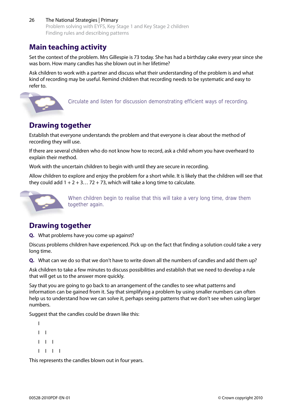#### 26 The National Strategies | Primary Problem solving with EYFS, Key Stage 1 and Key Stage 2 children Finding rules and describing patterns

## **Main teaching activity**

Set the context of the problem. Mrs Gillespie is 73 today. She has had a birthday cake every year since she was born. How many candles has she blown out in her lifetime?

Ask children to work with a partner and discuss what their understanding of the problem is and what kind of recording may be useful. Remind children that recording needs to be systematic and easy to refer to.



Circulate and listen for discussion demonstrating efficient ways of recording.

## **Drawing together**

Establish that everyone understands the problem and that everyone is clear about the method of recording they will use.

If there are several children who do not know how to record, ask a child whom you have overheard to explain their method.

Work with the uncertain children to begin with until they are secure in recording.

Allow children to explore and enjoy the problem for a short while. It is likely that the children will see that they could add  $1 + 2 + 3...$  72 + 73, which will take a long time to calculate.



When children begin to realise that this will take a very long time, draw them together again.

## **Drawing together**

**Q.** What problems have you come up against?

Discuss problems children have experienced. Pick up on the fact that finding a solution could take a very long time.

**Q.** What can we do so that we don't have to write down all the numbers of candles and add them up?

Ask children to take a few minutes to discuss possibilities and establish that we need to develop a rule that will get us to the answer more quickly.

Say that you are going to go back to an arrangement of the candles to see what patterns and information can be gained from it. Say that simplifying a problem by using smaller numbers can often help us to understand how we can solve it, perhaps seeing patterns that we don't see when using larger numbers.

Suggest that the candles could be drawn like this:

```
I
I I
I I I
I I I I
```
This represents the candles blown out in four years.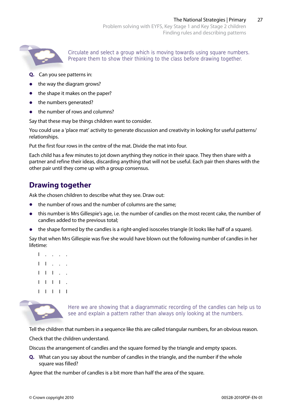

Circulate and select a group which is moving towards using square numbers. Prepare them to show their thinking to the class before drawing together.

- **Q.** Can you see patterns in:
- the way the diagram grows?
- the shape it makes on the paper?
- **•** the numbers generated?
- **•**  the number of rows and columns?

Say that these may be things children want to consider.

You could use a 'place mat' activity to generate discussion and creativity in looking for useful patterns/ relationships.

Put the first four rows in the centre of the mat. Divide the mat into four.

Each child has a few minutes to jot down anything they notice in their space. They then share with a partner and refine their ideas, discarding anything that will not be useful. Each pair then shares with the other pair until they come up with a group consensus.

## **Drawing together**

Ask the chosen children to describe what they see. Draw out:

- the number of rows and the number of columns are the same;
- this number is Mrs Gillespie's age, i.e. the number of candles on the most recent cake, the number of candles added to the previous total;
- the shape formed by the candles is a right-angled isosceles triangle (it looks like half of a square).

Say that when Mrs Gillespie was five she would have blown out the following number of candles in her lifetime:

- I . . . .
- $I$   $I$   $I$   $I$   $I$   $I$   $I$   $I$
- I I I . .
- I I I I .
- I I I I I



Here we are showing that a diagrammatic recording of the candles can help us to see and explain a pattern rather than always only looking at the numbers.

Tell the children that numbers in a sequence like this are called triangular numbers, for an obvious reason.

Check that the children understand.

Discuss the arrangement of candles and the square formed by the triangle and empty spaces.

**Q.** What can you say about the number of candles in the triangle, and the number if the whole square was filled?

Agree that the number of candles is a bit more than half the area of the square.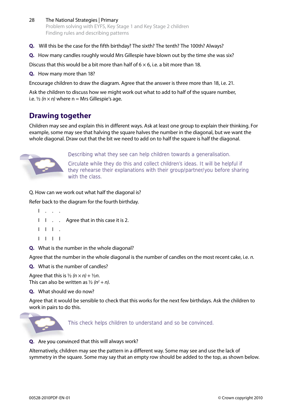- 28 The National Strategies | Primary Problem solving with EYFS, Key Stage 1 and Key Stage 2 children Finding rules and describing patterns
- **Q.** Will this be the case for the fifth birthday? The sixth? The tenth? The 100th? Always?
- **Q.** How many candles roughly would Mrs Gillespie have blown out by the time she was six?

Discuss that this would be a bit more than half of  $6 \times 6$ , i.e. a bit more than 18.

**Q.** How many more than 18?

Encourage children to draw the diagram. Agree that the answer is three more than 18, i.e. 21.

Ask the children to discuss how we might work out what to add to half of the square number, i.e.  $\frac{1}{2}$  ( $n \times n$ ) where n = Mrs Gillespie's age.

## **Drawing together**

Children may see and explain this in different ways. Ask at least one group to explain their thinking. For example, some may see that halving the square halves the number in the diagonal, but we want the whole diagonal. Draw out that the bit we need to add on to half the square is half the diagonal.



Describing what they see can help children towards a generalisation.

Circulate while they do this and collect children's ideas. It will be helpful if they rehearse their explanations with their group/partner/you before sharing with the class.

Q. How can we work out what half the diagonal is?

Refer back to the diagram for the fourth birthday.

- I . . . I I . . Agree that in this case it is 2. I I I . I I I I
- **Q.** What is the number in the whole diagonal?

Agree that the number in the whole diagonal is the number of candles on the most recent cake, i.e. *n*.

**Q.** What is the number of candles?

Agree that this is  $\frac{1}{2}$  ( $n \times n$ ) +  $\frac{1}{2}$ n. This can also be written as ½ *(n2 + n)*.

**Q.** What should we do now?

Agree that it would be sensible to check that this works for the next few birthdays. Ask the children to work in pairs to do this.



This check helps children to understand and so be convinced.

**Q.** Are you convinced that this will always work?

Alternatively, children may see the pattern in a different way. Some may see and use the lack of symmetry in the square. Some may say that an empty row should be added to the top, as shown below.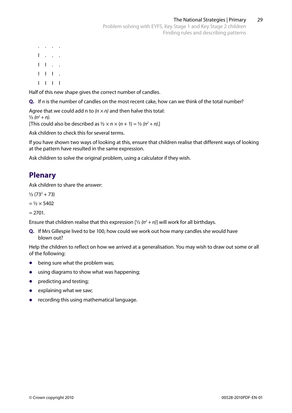. . . . I . . .  $I \cup I \cup \ldots$  $I$   $I$   $I$   $I$ I I I I

Half of this new shape gives the correct number of candles.

**Q.** If *n* is the number of candles on the most recent cake, how can we think of the total number?

Agree that we could add n to *(n × n)* and then halve this total:  $\frac{1}{2} (n^2 + n)$ .

[This could also be described as  $\frac{1}{2} \times n \times (n + 1) = \frac{1}{2} (n^2 + n)$ .]

Ask children to check this for several terms.

If you have shown two ways of looking at this, ensure that children realise that different ways of looking at the pattern have resulted in the same expression.

Ask children to solve the original problem, using a calculator if they wish.

## **Plenary**

Ask children to share the answer:

 $\frac{1}{2}$  (73<sup>2</sup> + 73)

 $=$   $\frac{1}{2} \times 5402$ 

 $= 2701.$ 

Ensure that children realise that this expression  $[\frac{1}{2} (n^2 + n)]$  will work for all birthdays.

**Q.** If Mrs Gillespie lived to be 100, how could we work out how many candles she would have blown out?

Help the children to reflect on how we arrived at a generalisation. You may wish to draw out some or all of the following:

- being sure what the problem was;
- **•**  using diagrams to show what was happening;
- **•** predicting and testing;
- explaining what we saw;
- **•** recording this using mathematical language.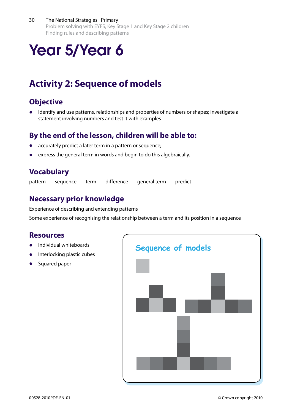#### 30 The National Strategies | Primary

Problem solving with EYFS, Key Stage 1 and Key Stage 2 children Finding rules and describing patterns

# Year 5/Year 6

## **Activity 2: Sequence of models**

## **Objective**

Identify and use patterns, relationships and properties of numbers or shapes; investigate a statement involving numbers and test it with examples

## **By the end of the lesson, children will be able to:**

- accurately predict a later term in a pattern or sequence;
- express the general term in words and begin to do this algebraically.

## **Vocabulary**

pattern sequence term difference general term predict

## **Necessary prior knowledge**

Experience of describing and extending patterns

Some experience of recognising the relationship between a term and its position in a sequence

### **Resources**

- **Individual whiteboards**
- **Interlocking plastic cubes**
- **Squared paper**

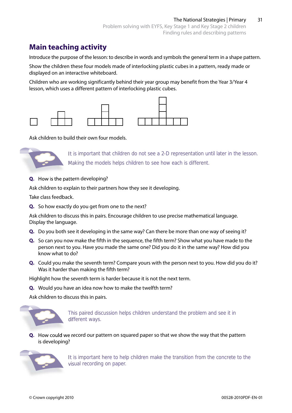## **Main teaching activity**

Introduce the purpose of the lesson: to describe in words and symbols the general term in a shape pattern.

Show the children these four models made of interlocking plastic cubes in a pattern, ready made or displayed on an interactive whiteboard.

Children who are working significantly behind their year group may benefit from the Year 3/Year 4 lesson, which uses a different pattern of interlocking plastic cubes.



Ask children to build their own four models.



It is important that children do not see a 2-D representation until later in the lesson. Making the models helps children to see how each is different.

**Q.** How is the pattern developing?

Ask children to explain to their partners how they see it developing.

Take class feedback.

**Q.** So how exactly do you get from one to the next?

Ask children to discuss this in pairs. Encourage children to use precise mathematical language. Display the language.

- **Q.** Do you both see it developing in the same way? Can there be more than one way of seeing it?
- **Q.** So can you now make the fifth in the sequence, the fifth term? Show what you have made to the person next to you. Have you made the same one? Did you do it in the same way? How did you know what to do?
- **Q.** Could you make the seventh term? Compare yours with the person next to you. How did you do it? Was it harder than making the fifth term?

Highlight how the seventh term is harder because it is not the next term.

**Q.** Would you have an idea now how to make the twelfth term?

Ask children to discuss this in pairs.



This paired discussion helps children understand the problem and see it in This paired discussion helps children understand the problem and see it in different ways.

**Q.** How could we record our pattern on squared paper so that we show the way that the pattern is developing?



It is important here to help children make the transition from the concrete to the visual recording on paper.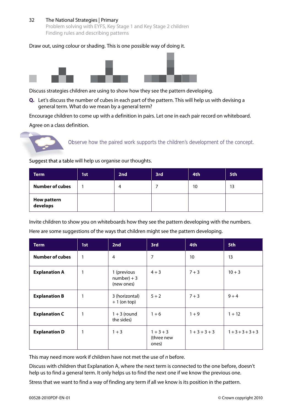#### 32 The National Strategies | Primary

Problem solving with EYFS, Key Stage 1 and Key Stage 2 children Finding rules and describing patterns

#### Draw out, using colour or shading. This is one possible way of doing it.



Discuss strategies children are using to show how they see the pattern developing.

**Q.** Let's discuss the number of cubes in each part of the pattern. This will help us with devising a general term. What do we mean by a general term?

Encourage children to come up with a definition in pairs. Let one in each pair record on whiteboard. Agree on a class definition.



Observe how the paired work supports the children's development of the concept.

Suggest that a table will help us organise our thoughts.

| <b>Term</b>                    | 1st | 2nd | 3rd | 4th | 5th |
|--------------------------------|-----|-----|-----|-----|-----|
| <b>Number of cubes</b>         |     | 4   |     | 10  | 13  |
| <b>How pattern</b><br>develops |     |     |     |     |     |

Invite children to show you on whiteboards how they see the pattern developing with the numbers. Here are some suggestions of the ways that children might see the pattern developing.

| Term                   | 1st | 2nd                                         | 3rd                                | 4th             | 5th         |
|------------------------|-----|---------------------------------------------|------------------------------------|-----------------|-------------|
| <b>Number of cubes</b> | 1   | 4                                           | 7                                  | 10              | 13          |
| <b>Explanation A</b>   | 1   | 1 (previous<br>$number$ ) + 3<br>(new ones) | $4 + 3$                            | $7 + 3$         | $10 + 3$    |
| <b>Explanation B</b>   | 1   | 3 (horizontal)<br>$+1$ (on top)             | $5 + 2$                            | $7 + 3$         | $9 + 4$     |
| <b>Explanation C</b>   | 1   | $1 + 3$ (round<br>the sides)                | $1 + 6$                            | $1 + 9$         | $1 + 12$    |
| <b>Explanation D</b>   | 1   | $1 + 3$                                     | $1 + 3 + 3$<br>(three new<br>ones) | $1 + 3 + 3 + 3$ | $1+3+3+3+3$ |

This may need more work if children have not met the use of *n* before.

Discuss with children that Explanation A, where the next term is connected to the one before, doesn't help us to find a general term. It only helps us to find the next one if we know the previous one.

Stress that we want to find a way of finding any term if all we know is its position in the pattern.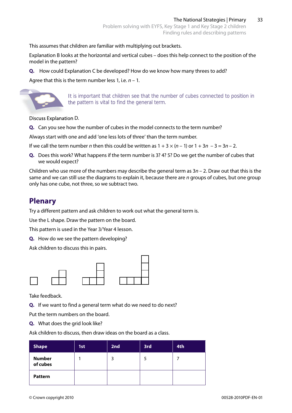This assumes that children are familiar with multiplying out brackets.

Explanation B looks at the horizontal and vertical cubes – does this help connect to the position of the model in the pattern?

**Q.** How could Explanation C be developed? How do we know how many threes to add?

Agree that this is the term number less 1, i.e. *n* – 1.



It is important that children see that the number of cubes connected to position in the pattern is vital to find the general term.

Discuss Explanation D.

**Q.** Can you see how the number of cubes in the model connects to the term number?

Always start with one and add 'one less lots of three' than the term number.

If we call the term number *n* then this could be written as  $1 + 3 \times (n - 1)$  or  $1 + 3n - 3 = 3n - 2$ .

**Q.** Does this work? What happens if the term number is 3? 4? 5? Do we get the number of cubes that we would expect?

Children who use more of the numbers may describe the general term as 3*n* – 2. Draw out that this is the same and we can still use the diagrams to explain it, because there are *n* groups of cubes, but one group only has one cube, not three, so we subtract two.

## **Plenary**

Try a different pattern and ask children to work out what the general term is.

Use the L shape. Draw the pattern on the board.

This pattern is used in the Year 3/Year 4 lesson.

**Q.** How do we see the pattern developing?

Ask children to discuss this in pairs.



Take feedback.

**Q.** If we want to find a general term what do we need to do next?

Put the term numbers on the board.

**Q.** What does the grid look like?

Ask children to discuss, then draw ideas on the board as a class.

| <b>Shape</b>              | 1st | 2nd | 3rd | 4th |
|---------------------------|-----|-----|-----|-----|
| <b>Number</b><br>of cubes |     |     | 5   |     |
| <b>Pattern</b>            |     |     |     |     |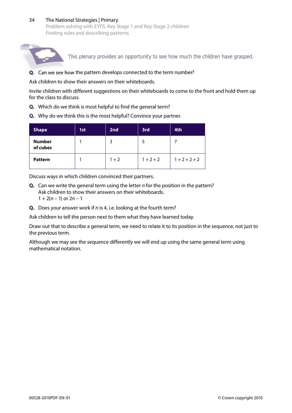#### 34 The National Strategies | Primary Problem solving with EYFS, Key Stage 1 and Key Stage 2 children Finding rules and describing patterns



This plenary provides an opportunity to see how much the children have grasped.

**Q.** Can we see how the pattern develops connected to the term number?

Ask children to show their answers on their whiteboards.

Invite children with different suggestions on their whiteboards to come to the front and hold them up for the class to discuss.

- **Q.** Which do we think is most helpful to find the general term?
- **Q.** Why do we think this is the most helpful? Convince your partner.

| <b>Shape</b>              | 1st | 2nd     | 3rd         | 4th             |
|---------------------------|-----|---------|-------------|-----------------|
| <b>Number</b><br>of cubes |     | 3       |             |                 |
| <b>Pattern</b>            |     | $1 + 2$ | $1 + 2 + 2$ | $1 + 2 + 2 + 2$ |

Discuss ways in which children convinced their partners.

- **Q.** Can we write the general term using the letter *n* for the position in the pattern? Ask children to show their answers on their whiteboards.  $1 + 2(n - 1)$  or  $2n - 1$
- **Q.** Does your answer work if *n* is 4, i.e. looking at the fourth term?

Ask children to tell the person next to them what they have learned today.

Draw out that to describe a general term, we need to relate it to its position in the sequence, not just to the previous term.

Although we may see the sequence differently we will end up using the same general term using mathematical notation.